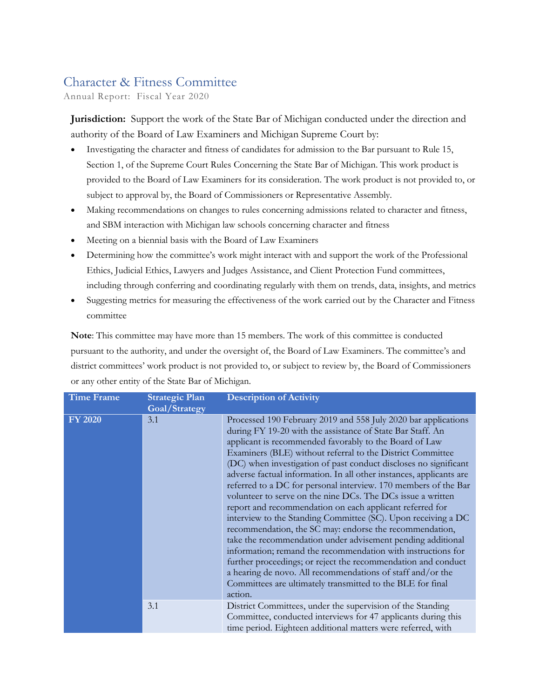## Character & Fitness Committee

Annual Report: Fiscal Year 2020

**Jurisdiction:** Support the work of the State Bar of Michigan conducted under the direction and authority of the Board of Law Examiners and Michigan Supreme Court by:

- Investigating the character and fitness of candidates for admission to the Bar pursuant to Rule 15, Section 1, of the Supreme Court Rules Concerning the State Bar of Michigan. This work product is provided to the Board of Law Examiners for its consideration. The work product is not provided to, or subject to approval by, the Board of Commissioners or Representative Assembly.
- Making recommendations on changes to rules concerning admissions related to character and fitness, and SBM interaction with Michigan law schools concerning character and fitness
- Meeting on a biennial basis with the Board of Law Examiners
- Determining how the committee's work might interact with and support the work of the Professional Ethics, Judicial Ethics, Lawyers and Judges Assistance, and Client Protection Fund committees, including through conferring and coordinating regularly with them on trends, data, insights, and metrics
- Suggesting metrics for measuring the effectiveness of the work carried out by the Character and Fitness committee

**Note**: This committee may have more than 15 members. The work of this committee is conducted pursuant to the authority, and under the oversight of, the Board of Law Examiners. The committee's and district committees' work product is not provided to, or subject to review by, the Board of Commissioners or any other entity of the State Bar of Michigan.

| <b>Time Frame</b> | <b>Strategic Plan</b><br>Goal/Strategy | <b>Description of Activity</b>                                                                                                                                                                                                                                                                                                                                                                                                                                                                                                                                                                                                                                                                                                                                                                                                                                                                                                                                                                                                                                   |
|-------------------|----------------------------------------|------------------------------------------------------------------------------------------------------------------------------------------------------------------------------------------------------------------------------------------------------------------------------------------------------------------------------------------------------------------------------------------------------------------------------------------------------------------------------------------------------------------------------------------------------------------------------------------------------------------------------------------------------------------------------------------------------------------------------------------------------------------------------------------------------------------------------------------------------------------------------------------------------------------------------------------------------------------------------------------------------------------------------------------------------------------|
| <b>FY 2020</b>    | 3.1                                    | Processed 190 February 2019 and 558 July 2020 bar applications<br>during FY 19-20 with the assistance of State Bar Staff. An<br>applicant is recommended favorably to the Board of Law<br>Examiners (BLE) without referral to the District Committee<br>(DC) when investigation of past conduct discloses no significant<br>adverse factual information. In all other instances, applicants are<br>referred to a DC for personal interview. 170 members of the Bar<br>volunteer to serve on the nine DCs. The DCs issue a written<br>report and recommendation on each applicant referred for<br>interview to the Standing Committee (SC). Upon receiving a DC<br>recommendation, the SC may: endorse the recommendation,<br>take the recommendation under advisement pending additional<br>information; remand the recommendation with instructions for<br>further proceedings; or reject the recommendation and conduct<br>a hearing de novo. All recommendations of staff and/or the<br>Committees are ultimately transmitted to the BLE for final<br>action. |
|                   | 3.1                                    | District Committees, under the supervision of the Standing<br>Committee, conducted interviews for 47 applicants during this<br>time period. Eighteen additional matters were referred, with                                                                                                                                                                                                                                                                                                                                                                                                                                                                                                                                                                                                                                                                                                                                                                                                                                                                      |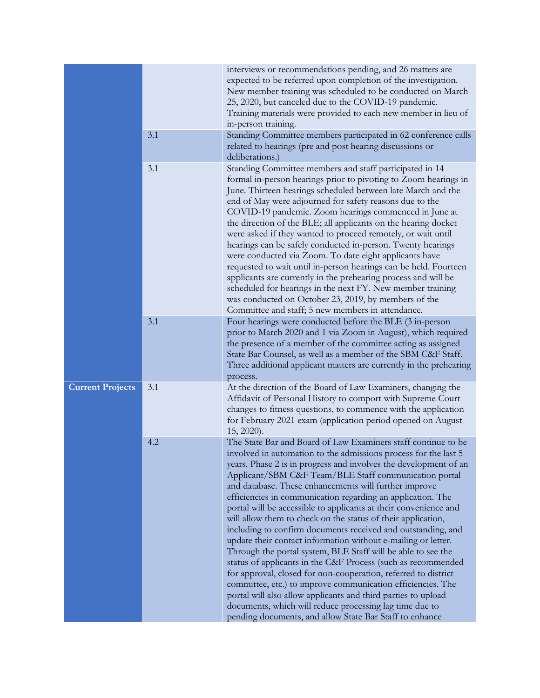|                         |     | interviews or recommendations pending, and 26 matters are<br>expected to be referred upon completion of the investigation.<br>New member training was scheduled to be conducted on March<br>25, 2020, but canceled due to the COVID-19 pandemic.<br>Training materials were provided to each new member in lieu of<br>in-person training.                                                                                                                                                                                                                                                                                                                                                                                                                                                                                                                                                                                                                                                                                                                                                                          |
|-------------------------|-----|--------------------------------------------------------------------------------------------------------------------------------------------------------------------------------------------------------------------------------------------------------------------------------------------------------------------------------------------------------------------------------------------------------------------------------------------------------------------------------------------------------------------------------------------------------------------------------------------------------------------------------------------------------------------------------------------------------------------------------------------------------------------------------------------------------------------------------------------------------------------------------------------------------------------------------------------------------------------------------------------------------------------------------------------------------------------------------------------------------------------|
|                         | 3.1 | Standing Committee members participated in 62 conference calls<br>related to hearings (pre and post hearing discussions or<br>deliberations.)                                                                                                                                                                                                                                                                                                                                                                                                                                                                                                                                                                                                                                                                                                                                                                                                                                                                                                                                                                      |
|                         | 3.1 | Standing Committee members and staff participated in 14<br>formal in-person hearings prior to pivoting to Zoom hearings in<br>June. Thirteen hearings scheduled between late March and the<br>end of May were adjourned for safety reasons due to the<br>COVID-19 pandemic. Zoom hearings commenced in June at<br>the direction of the BLE; all applicants on the hearing docket<br>were asked if they wanted to proceed remotely, or wait until<br>hearings can be safely conducted in-person. Twenty hearings<br>were conducted via Zoom. To date eight applicants have<br>requested to wait until in-person hearings can be held. Fourteen<br>applicants are currently in the prehearing process and will be<br>scheduled for hearings in the next FY. New member training<br>was conducted on October 23, 2019, by members of the<br>Committee and staff; 5 new members in attendance.                                                                                                                                                                                                                         |
|                         | 3.1 | Four hearings were conducted before the BLE (3 in-person<br>prior to March 2020 and 1 via Zoom in August), which required<br>the presence of a member of the committee acting as assigned<br>State Bar Counsel, as well as a member of the SBM C&F Staff.<br>Three additional applicant matters are currently in the prehearing<br>process.                                                                                                                                                                                                                                                                                                                                                                                                                                                                                                                                                                                                                                                                                                                                                                        |
| <b>Current Projects</b> | 3.1 | At the direction of the Board of Law Examiners, changing the<br>Affidavit of Personal History to comport with Supreme Court<br>changes to fitness questions, to commence with the application<br>for February 2021 exam (application period opened on August<br>15, 2020).                                                                                                                                                                                                                                                                                                                                                                                                                                                                                                                                                                                                                                                                                                                                                                                                                                         |
|                         | 4.2 | The State Bar and Board of Law Examiners staff continue to be<br>involved in automation to the admissions process for the last 5<br>years. Phase 2 is in progress and involves the development of an<br>Applicant/SBM C&F Team/BLE Staff communication portal<br>and database. These enhancements will further improve<br>efficiencies in communication regarding an application. The<br>portal will be accessible to applicants at their convenience and<br>will allow them to check on the status of their application,<br>including to confirm documents received and outstanding, and<br>update their contact information without e-mailing or letter.<br>Through the portal system, BLE Staff will be able to see the<br>status of applicants in the C&F Process (such as recommended<br>for approval, closed for non-cooperation, referred to district<br>committee, etc.) to improve communication efficiencies. The<br>portal will also allow applicants and third parties to upload<br>documents, which will reduce processing lag time due to<br>pending documents, and allow State Bar Staff to enhance |